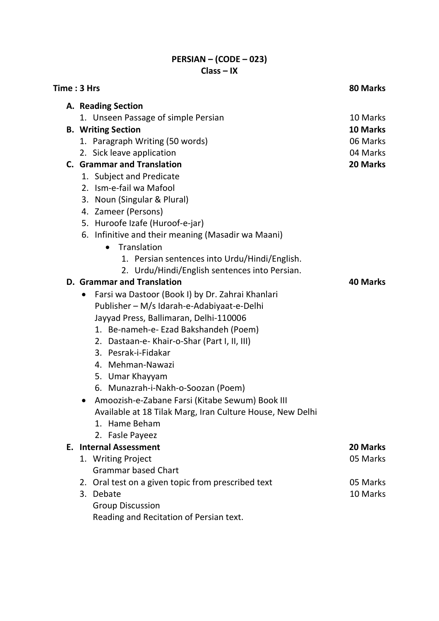## PERSIAN – (CODE – 023) Class – IX

| Time: 3 Hrs | 80 Marks                                                      |          |  |  |  |
|-------------|---------------------------------------------------------------|----------|--|--|--|
|             | A. Reading Section                                            |          |  |  |  |
|             | 1. Unseen Passage of simple Persian                           | 10 Marks |  |  |  |
|             | <b>B.</b> Writing Section                                     | 10 Marks |  |  |  |
|             | 1. Paragraph Writing (50 words)                               | 06 Marks |  |  |  |
|             | 2. Sick leave application                                     | 04 Marks |  |  |  |
|             | <b>C.</b> Grammar and Translation                             | 20 Marks |  |  |  |
|             | 1. Subject and Predicate                                      |          |  |  |  |
|             | 2. Ism-e-fail wa Mafool                                       |          |  |  |  |
|             | 3. Noun (Singular & Plural)                                   |          |  |  |  |
|             | 4. Zameer (Persons)                                           |          |  |  |  |
|             | 5. Huroofe Izafe (Huroof-e-jar)                               |          |  |  |  |
|             | 6. Infinitive and their meaning (Masadir wa Maani)            |          |  |  |  |
|             | Translation<br>$\bullet$                                      |          |  |  |  |
|             | 1. Persian sentences into Urdu/Hindi/English.                 |          |  |  |  |
|             | 2. Urdu/Hindi/English sentences into Persian.                 |          |  |  |  |
|             | <b>D. Grammar and Translation</b><br>40 Marks                 |          |  |  |  |
|             | Farsi wa Dastoor (Book I) by Dr. Zahrai Khanlari<br>$\bullet$ |          |  |  |  |
|             | Publisher - M/s Idarah-e-Adabiyaat-e-Delhi                    |          |  |  |  |
|             | Jayyad Press, Ballimaran, Delhi-110006                        |          |  |  |  |
|             | 1. Be-nameh-e- Ezad Bakshandeh (Poem)                         |          |  |  |  |
|             | 2. Dastaan-e- Khair-o-Shar (Part I, II, III)                  |          |  |  |  |
|             | 3. Pesrak-i-Fidakar                                           |          |  |  |  |
|             | 4. Mehman-Nawazi                                              |          |  |  |  |
|             | 5. Umar Khayyam                                               |          |  |  |  |
|             | 6. Munazrah-i-Nakh-o-Soozan (Poem)                            |          |  |  |  |
|             | Amoozish-e-Zabane Farsi (Kitabe Sewum) Book III<br>$\bullet$  |          |  |  |  |
|             | Available at 18 Tilak Marg, Iran Culture House, New Delhi     |          |  |  |  |
|             | 1. Hame Beham                                                 |          |  |  |  |
|             | 2. Fasle Payeez                                               |          |  |  |  |
|             | <b>E.</b> Internal Assessment                                 | 20 Marks |  |  |  |
|             | 1. Writing Project                                            | 05 Marks |  |  |  |
|             | <b>Grammar based Chart</b>                                    |          |  |  |  |
|             | 2. Oral test on a given topic from prescribed text            | 05 Marks |  |  |  |
|             | 3. Debate                                                     | 10 Marks |  |  |  |
|             | <b>Group Discussion</b>                                       |          |  |  |  |
|             | Reading and Recitation of Persian text.                       |          |  |  |  |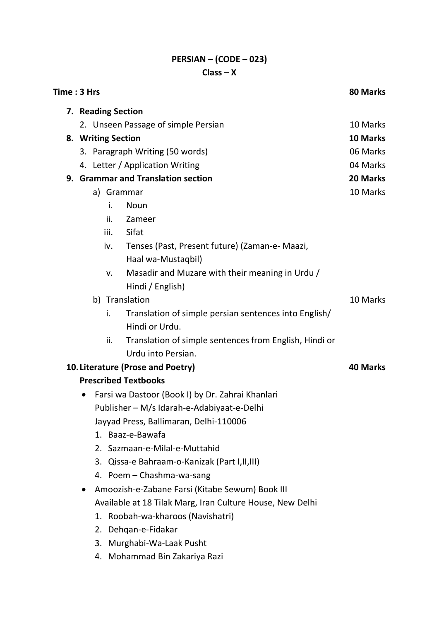## PERSIAN – (CODE – 023) Class – X

| Time: 3 Hrs                                                   |                    |                                                        |          |  |  |
|---------------------------------------------------------------|--------------------|--------------------------------------------------------|----------|--|--|
| 7. Reading Section                                            |                    |                                                        |          |  |  |
|                                                               |                    | 2. Unseen Passage of simple Persian                    | 10 Marks |  |  |
|                                                               | 8. Writing Section |                                                        |          |  |  |
|                                                               |                    | 3. Paragraph Writing (50 words)                        | 06 Marks |  |  |
|                                                               |                    | 4. Letter / Application Writing                        | 04 Marks |  |  |
|                                                               |                    | 9. Grammar and Translation section                     | 20 Marks |  |  |
|                                                               | a) Grammar         |                                                        | 10 Marks |  |  |
|                                                               | i.                 | Noun                                                   |          |  |  |
|                                                               | ii.                | Zameer                                                 |          |  |  |
|                                                               | iii.               | Sifat                                                  |          |  |  |
|                                                               | iv.                | Tenses (Past, Present future) (Zaman-e- Maazi,         |          |  |  |
|                                                               |                    | Haal wa-Mustaqbil)                                     |          |  |  |
|                                                               | v.                 | Masadir and Muzare with their meaning in Urdu /        |          |  |  |
|                                                               |                    | Hindi / English)                                       |          |  |  |
|                                                               | b) Translation     |                                                        |          |  |  |
|                                                               | i.                 | Translation of simple persian sentences into English/  |          |  |  |
|                                                               |                    | Hindi or Urdu.                                         |          |  |  |
|                                                               | ii.                | Translation of simple sentences from English, Hindi or |          |  |  |
|                                                               |                    | Urdu into Persian.                                     |          |  |  |
| 10. Literature (Prose and Poetry)<br><b>40 Marks</b>          |                    |                                                        |          |  |  |
| <b>Prescribed Textbooks</b>                                   |                    |                                                        |          |  |  |
| Farsi wa Dastoor (Book I) by Dr. Zahrai Khanlari<br>$\bullet$ |                    |                                                        |          |  |  |
|                                                               |                    | Publisher - M/s Idarah-e-Adabiyaat-e-Delhi             |          |  |  |
|                                                               |                    | Jayyad Press, Ballimaran, Delhi-110006                 |          |  |  |
|                                                               |                    | 1. Baaz-e-Bawafa                                       |          |  |  |
|                                                               |                    | 2. Sazmaan-e-Milal-e-Muttahid                          |          |  |  |
|                                                               |                    | 3. Qissa-e Bahraam-o-Kanizak (Part I, II, III)         |          |  |  |
|                                                               |                    | 4. Poem - Chashma-wa-sang                              |          |  |  |
|                                                               |                    | Amoozish-e-Zabane Farsi (Kitabe Sewum) Book III        |          |  |  |
| Available at 18 Tilak Marg, Iran Culture House, New Delhi     |                    |                                                        |          |  |  |
|                                                               |                    | 1. Roobah-wa-kharoos (Navishatri)                      |          |  |  |
|                                                               |                    | 2. Dehqan-e-Fidakar                                    |          |  |  |
|                                                               |                    | 3. Murghabi-Wa-Laak Pusht                              |          |  |  |

4. Mohammad Bin Zakariya Razi